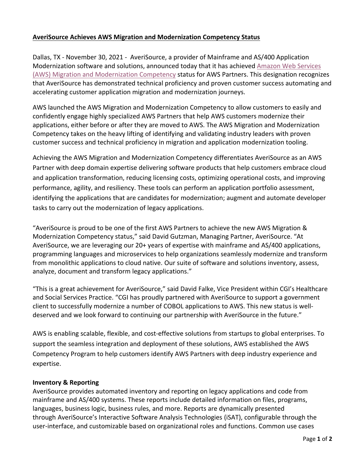## **AveriSource Achieves AWS Migration and Modernization Competency Status**

Dallas, TX - November 30, 2021 - AveriSource, a provider of Mainframe and AS/400 Application Modernization software and solutions, announced today that it has achieved Amazon Web Services (AWS) Migration and Modernization Competency status for AWS Partners. This designation recognizes that AveriSource has demonstrated technical proficiency and proven customer success automating and accelerating customer application migration and modernization journeys.

AWS launched the AWS Migration and Modernization Competency to allow customers to easily and confidently engage highly specialized AWS Partners that help AWS customers modernize their applications, either before or after they are moved to AWS. The AWS Migration and Modernization Competency takes on the heavy lifting of identifying and validating industry leaders with proven customer success and technical proficiency in migration and application modernization tooling.

Achieving the AWS Migration and Modernization Competency differentiates AveriSource as an AWS Partner with deep domain expertise delivering software products that help customers embrace cloud and application transformation, reducing licensing costs, optimizing operational costs, and improving performance, agility, and resiliency. These tools can perform an application portfolio assessment, identifying the applications that are candidates for modernization; augment and automate developer tasks to carry out the modernization of legacy applications.

"AveriSource is proud to be one of the first AWS Partners to achieve the new AWS Migration & Modernization Competency status," said David Gutzman, Managing Partner, AveriSource. "At AveriSource, we are leveraging our 20+ years of expertise with mainframe and AS/400 applications, programming languages and microservices to help organizations seamlessly modernize and transform from monolithic applications to cloud native. Our suite of software and solutions inventory, assess, analyze, document and transform legacy applications."

"This is a great achievement for AveriSource," said David Falke, Vice President within CGI's Healthcare and Social Services Practice. "CGI has proudly partnered with AveriSource to support a government client to successfully modernize a number of COBOL applications to AWS. This new status is welldeserved and we look forward to continuing our partnership with AveriSource in the future."

AWS is enabling scalable, flexible, and cost-effective solutions from startups to global enterprises. To support the seamless integration and deployment of these solutions, AWS established the AWS Competency Program to help customers identify AWS Partners with deep industry experience and expertise.

## **Inventory & Reporting**

AveriSource provides automated inventory and reporting on legacy applications and code from mainframe and AS/400 systems. These reports include detailed information on files, programs, languages, business logic, business rules, and more. Reports are dynamically presented through AveriSource's Interactive Software Analysis Technologies (iSAT), configurable through the user-interface, and customizable based on organizational roles and functions. Common use cases